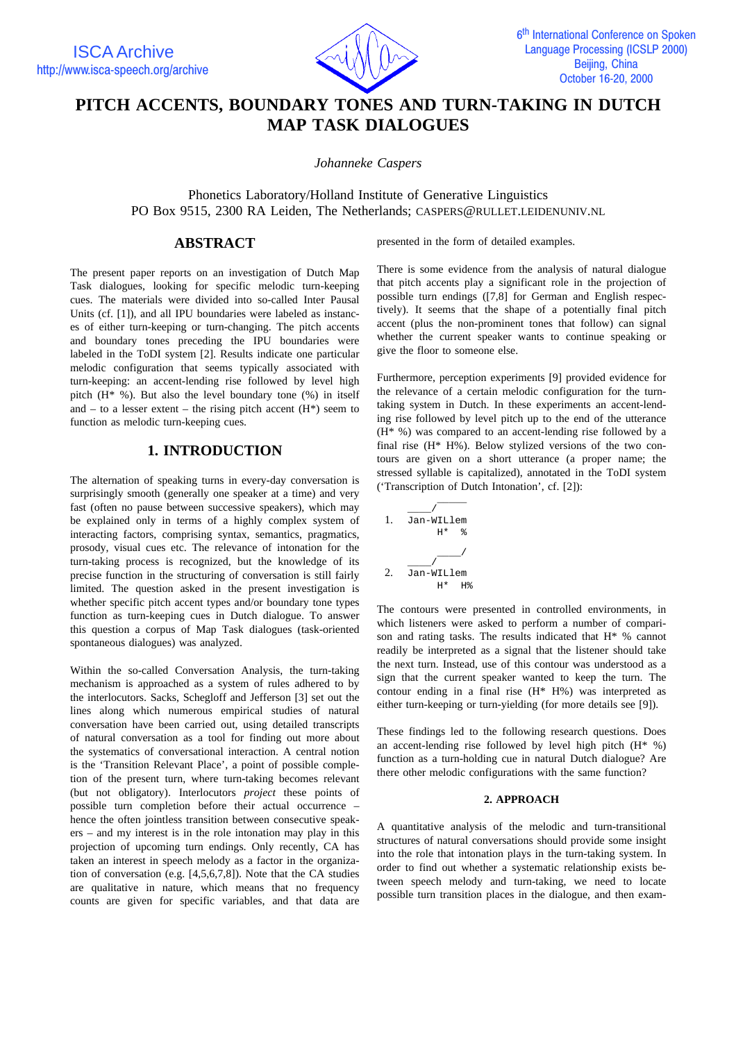

# **PITCH ACCENTS, BOUNDARY TONES AND TURN-TAKING IN DUTCH MAP TASK DIALOGUES**

*Johanneke Caspers*

Phonetics Laboratory/Holland Institute of Generative Linguistics PO Box 9515, 2300 RA Leiden, The Netherlands; CASPERS@RULLET.LEIDENUNIV.NL

## **ABSTRACT**

The present paper reports on an investigation of Dutch Map Task dialogues, looking for specific melodic turn-keeping cues. The materials were divided into so-called Inter Pausal Units (cf. [1]), and all IPU boundaries were labeled as instances of either turn-keeping or turn-changing. The pitch accents and boundary tones preceding the IPU boundaries were labeled in the ToDI system [2]. Results indicate one particular melodic configuration that seems typically associated with turn-keeping: an accent-lending rise followed by level high pitch (H\* %). But also the level boundary tone (%) in itself and – to a lesser extent – the rising pitch accent  $(H^*)$  seem to function as melodic turn-keeping cues.

## **1. INTRODUCTION**

The alternation of speaking turns in every-day conversation is surprisingly smooth (generally one speaker at a time) and very fast (often no pause between successive speakers), which may be explained only in terms of a highly complex system of interacting factors, comprising syntax, semantics, pragmatics, prosody, visual cues etc. The relevance of intonation for the turn-taking process is recognized, but the knowledge of its precise function in the structuring of conversation is still fairly limited. The question asked in the present investigation is whether specific pitch accent types and/or boundary tone types function as turn-keeping cues in Dutch dialogue. To answer this question a corpus of Map Task dialogues (task-oriented spontaneous dialogues) was analyzed.

Within the so-called Conversation Analysis, the turn-taking mechanism is approached as a system of rules adhered to by the interlocutors. Sacks, Schegloff and Jefferson [3] set out the lines along which numerous empirical studies of natural conversation have been carried out, using detailed transcripts of natural conversation as a tool for finding out more about the systematics of conversational interaction. A central notion is the 'Transition Relevant Place', a point of possible completion of the present turn, where turn-taking becomes relevant (but not obligatory). Interlocutors *project* these points of possible turn completion before their actual occurrence – hence the often jointless transition between consecutive speakers – and my interest is in the role intonation may play in this projection of upcoming turn endings. Only recently, CA has taken an interest in speech melody as a factor in the organization of conversation (e.g. [4,5,6,7,8]). Note that the CA studies are qualitative in nature, which means that no frequency counts are given for specific variables, and that data are

presented in the form of detailed examples.

There is some evidence from the analysis of natural dialogue that pitch accents play a significant role in the projection of possible turn endings ([7,8] for German and English respectively). It seems that the shape of a potentially final pitch accent (plus the non-prominent tones that follow) can signal whether the current speaker wants to continue speaking or give the floor to someone else.

Furthermore, perception experiments [9] provided evidence for the relevance of a certain melodic configuration for the turntaking system in Dutch. In these experiments an accent-lending rise followed by level pitch up to the end of the utterance (H\* %) was compared to an accent-lending rise followed by a final rise (H\* H%). Below stylized versions of the two contours are given on a short utterance (a proper name; the stressed syllable is capitalized), annotated in the ToDI system ('Transcription of Dutch Intonation', cf. [2]):

1. 
$$
\frac{1}{\text{Jan-WILlem}} + \text{ when } \frac{1}{\text{Ham}} = \frac{1}{\text{Ham-WILlem}}
$$
\n2. 
$$
\frac{1}{\text{Jan-WILlem}} + \text{lim} + \text{lim}
$$

The contours were presented in controlled environments, in which listeners were asked to perform a number of comparison and rating tasks. The results indicated that H\* % cannot readily be interpreted as a signal that the listener should take the next turn. Instead, use of this contour was understood as a sign that the current speaker wanted to keep the turn. The contour ending in a final rise (H\* H%) was interpreted as either turn-keeping or turn-yielding (for more details see [9]).

These findings led to the following research questions. Does an accent-lending rise followed by level high pitch  $(H^* \%)$ function as a turn-holding cue in natural Dutch dialogue? Are there other melodic configurations with the same function?

#### **2. APPROACH**

A quantitative analysis of the melodic and turn-transitional structures of natural conversations should provide some insight into the role that intonation plays in the turn-taking system. In order to find out whether a systematic relationship exists between speech melody and turn-taking, we need to locate possible turn transition places in the dialogue, and then exam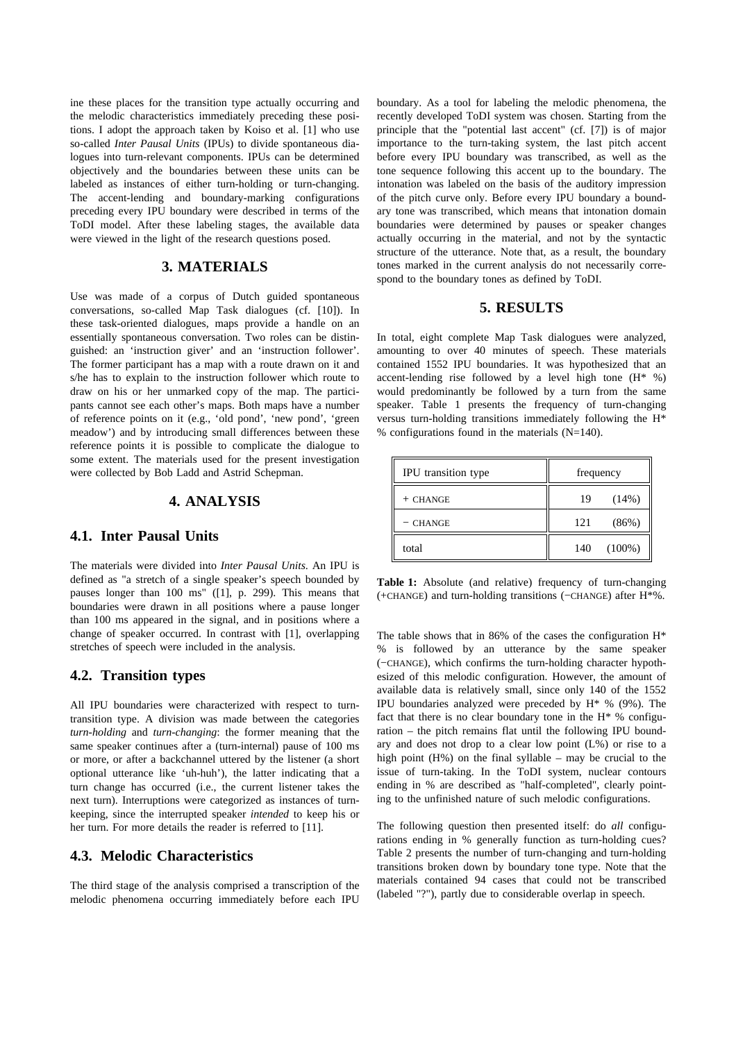ine these places for the transition type actually occurring and the melodic characteristics immediately preceding these positions. I adopt the approach taken by Koiso et al. [1] who use so-called *Inter Pausal Units* (IPUs) to divide spontaneous dialogues into turn-relevant components. IPUs can be determined objectively and the boundaries between these units can be labeled as instances of either turn-holding or turn-changing. The accent-lending and boundary-marking configurations preceding every IPU boundary were described in terms of the ToDI model. After these labeling stages, the available data were viewed in the light of the research questions posed.

## **3. MATERIALS**

Use was made of a corpus of Dutch guided spontaneous conversations, so-called Map Task dialogues (cf. [10]). In these task-oriented dialogues, maps provide a handle on an essentially spontaneous conversation. Two roles can be distinguished: an 'instruction giver' and an 'instruction follower'. The former participant has a map with a route drawn on it and s/he has to explain to the instruction follower which route to draw on his or her unmarked copy of the map. The participants cannot see each other's maps. Both maps have a number of reference points on it (e.g., 'old pond', 'new pond', 'green meadow') and by introducing small differences between these reference points it is possible to complicate the dialogue to some extent. The materials used for the present investigation were collected by Bob Ladd and Astrid Schepman.

## **4. ANALYSIS**

#### **4.1. Inter Pausal Units**

The materials were divided into *Inter Pausal Units*. An IPU is defined as "a stretch of a single speaker's speech bounded by pauses longer than 100 ms" ([1], p. 299). This means that boundaries were drawn in all positions where a pause longer than 100 ms appeared in the signal, and in positions where a change of speaker occurred. In contrast with [1], overlapping stretches of speech were included in the analysis.

#### **4.2. Transition types**

All IPU boundaries were characterized with respect to turntransition type. A division was made between the categories *turn-holding* and *turn-changing*: the former meaning that the same speaker continues after a (turn-internal) pause of 100 ms or more, or after a backchannel uttered by the listener (a short optional utterance like 'uh-huh'), the latter indicating that a turn change has occurred (i.e., the current listener takes the next turn). Interruptions were categorized as instances of turnkeeping, since the interrupted speaker *intended* to keep his or her turn. For more details the reader is referred to [11].

## **4.3. Melodic Characteristics**

The third stage of the analysis comprised a transcription of the melodic phenomena occurring immediately before each IPU

boundary. As a tool for labeling the melodic phenomena, the recently developed ToDI system was chosen. Starting from the principle that the "potential last accent" (cf. [7]) is of major importance to the turn-taking system, the last pitch accent before every IPU boundary was transcribed, as well as the tone sequence following this accent up to the boundary. The intonation was labeled on the basis of the auditory impression of the pitch curve only. Before every IPU boundary a boundary tone was transcribed, which means that intonation domain boundaries were determined by pauses or speaker changes actually occurring in the material, and not by the syntactic structure of the utterance. Note that, as a result, the boundary tones marked in the current analysis do not necessarily correspond to the boundary tones as defined by ToDI.

#### **5. RESULTS**

In total, eight complete Map Task dialogues were analyzed, amounting to over 40 minutes of speech. These materials contained 1552 IPU boundaries. It was hypothesized that an accent-lending rise followed by a level high tone  $(H^* \%)$ would predominantly be followed by a turn from the same speaker. Table 1 presents the frequency of turn-changing versus turn-holding transitions immediately following the H\* % configurations found in the materials (N=140).

| IPU transition type | frequency        |  |  |
|---------------------|------------------|--|--|
| $+$ CHANGE          | (14%)<br>19      |  |  |
| - CHANGE            | (86%)<br>121     |  |  |
| total               | $(100\%)$<br>140 |  |  |

**Table 1:** Absolute (and relative) frequency of turn-changing (+CHANGE) and turn-holding transitions (−CHANGE) after H\*%.

The table shows that in 86% of the cases the configuration  $H^*$ % is followed by an utterance by the same speaker (−CHANGE), which confirms the turn-holding character hypothesized of this melodic configuration. However, the amount of available data is relatively small, since only 140 of the 1552 IPU boundaries analyzed were preceded by H\* % (9%). The fact that there is no clear boundary tone in the H\* % configuration – the pitch remains flat until the following IPU boundary and does not drop to a clear low point (L%) or rise to a high point (H%) on the final syllable – may be crucial to the issue of turn-taking. In the ToDI system, nuclear contours ending in % are described as "half-completed", clearly pointing to the unfinished nature of such melodic configurations.

The following question then presented itself: do *all* configurations ending in % generally function as turn-holding cues? Table 2 presents the number of turn-changing and turn-holding transitions broken down by boundary tone type. Note that the materials contained 94 cases that could not be transcribed (labeled "?"), partly due to considerable overlap in speech.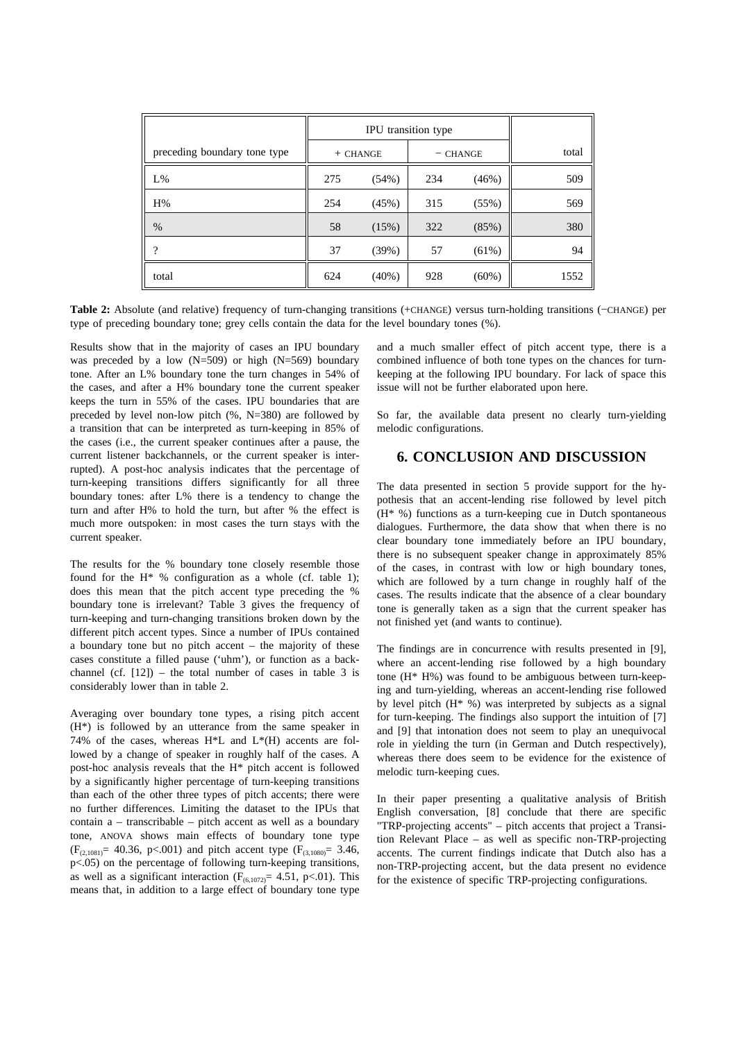|                              | IPU transition type |          |            |          |       |
|------------------------------|---------------------|----------|------------|----------|-------|
| preceding boundary tone type | $+$ CHANGE          |          | $-$ CHANGE |          | total |
| L%                           | 275                 | (54%)    | 234        | (46%)    | 509   |
| H%                           | 254                 | (45%)    | 315        | (55%)    | 569   |
| %                            | 58                  | (15%)    | 322        | (85%)    | 380   |
| ?                            | 37                  | (39%)    | 57         | (61%)    | 94    |
| total                        | 624                 | $(40\%)$ | 928        | $(60\%)$ | 1552  |

**Table 2:** Absolute (and relative) frequency of turn-changing transitions (+CHANGE) versus turn-holding transitions (−CHANGE) per type of preceding boundary tone; grey cells contain the data for the level boundary tones (%).

Results show that in the majority of cases an IPU boundary was preceded by a low  $(N=509)$  or high  $(N=569)$  boundary tone. After an L% boundary tone the turn changes in 54% of the cases, and after a H% boundary tone the current speaker keeps the turn in 55% of the cases. IPU boundaries that are preceded by level non-low pitch (%, N=380) are followed by a transition that can be interpreted as turn-keeping in 85% of the cases (i.e., the current speaker continues after a pause, the current listener backchannels, or the current speaker is interrupted). A post-hoc analysis indicates that the percentage of turn-keeping transitions differs significantly for all three boundary tones: after L% there is a tendency to change the turn and after H% to hold the turn, but after % the effect is much more outspoken: in most cases the turn stays with the current speaker.

The results for the % boundary tone closely resemble those found for the H\* % configuration as a whole (cf. table 1); does this mean that the pitch accent type preceding the % boundary tone is irrelevant? Table 3 gives the frequency of turn-keeping and turn-changing transitions broken down by the different pitch accent types. Since a number of IPUs contained a boundary tone but no pitch accent – the majority of these cases constitute a filled pause ('uhm'), or function as a backchannel (cf.  $[12]$ ) – the total number of cases in table 3 is considerably lower than in table 2.

Averaging over boundary tone types, a rising pitch accent (H\*) is followed by an utterance from the same speaker in 74% of the cases, whereas H\*L and L\*(H) accents are followed by a change of speaker in roughly half of the cases. A post-hoc analysis reveals that the H\* pitch accent is followed by a significantly higher percentage of turn-keeping transitions than each of the other three types of pitch accents; there were no further differences. Limiting the dataset to the IPUs that contain a – transcribable – pitch accent as well as a boundary tone, ANOVA shows main effects of boundary tone type  $(F<sub>(2,1081)</sub> = 40.36, p<.001)$  and pitch accent type  $(F<sub>(3,1080)</sub> = 3.46,$ p<.05) on the percentage of following turn-keeping transitions, as well as a significant interaction  $(F_{(6,1072)} = 4.51, p<0.01)$ . This means that, in addition to a large effect of boundary tone type

and a much smaller effect of pitch accent type, there is a combined influence of both tone types on the chances for turnkeeping at the following IPU boundary. For lack of space this issue will not be further elaborated upon here.

So far, the available data present no clearly turn-yielding melodic configurations.

## **6. CONCLUSION AND DISCUSSION**

The data presented in section 5 provide support for the hypothesis that an accent-lending rise followed by level pitch (H\* %) functions as a turn-keeping cue in Dutch spontaneous dialogues. Furthermore, the data show that when there is no clear boundary tone immediately before an IPU boundary, there is no subsequent speaker change in approximately 85% of the cases, in contrast with low or high boundary tones, which are followed by a turn change in roughly half of the cases. The results indicate that the absence of a clear boundary tone is generally taken as a sign that the current speaker has not finished yet (and wants to continue).

The findings are in concurrence with results presented in [9], where an accent-lending rise followed by a high boundary tone (H\* H%) was found to be ambiguous between turn-keeping and turn-yielding, whereas an accent-lending rise followed by level pitch (H\* %) was interpreted by subjects as a signal for turn-keeping. The findings also support the intuition of [7] and [9] that intonation does not seem to play an unequivocal role in yielding the turn (in German and Dutch respectively), whereas there does seem to be evidence for the existence of melodic turn-keeping cues.

In their paper presenting a qualitative analysis of British English conversation, [8] conclude that there are specific "TRP-projecting accents" – pitch accents that project a Transition Relevant Place – as well as specific non-TRP-projecting accents. The current findings indicate that Dutch also has a non-TRP-projecting accent, but the data present no evidence for the existence of specific TRP-projecting configurations.